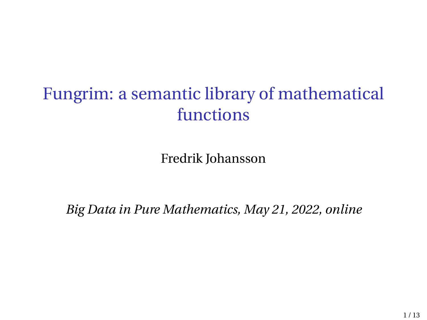## Fungrim: a semantic library of mathematical functions

Fredrik Johansson

*Big Data in Pure Mathematics, May 21, 2022, online*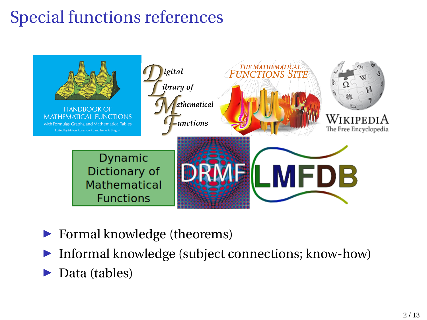# Special functions references



- ▶ Formal knowledge (theorems)
- ▶ Informal knowledge (subject connections; know-how)
- ▶ Data (tables)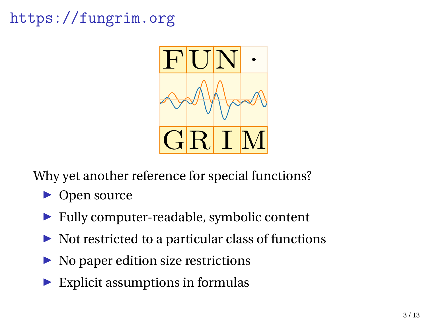### <https://fungrim.org>



Why yet another reference for special functions?

- ▶ Open source
- ▶ Fully computer-readable, symbolic content
- $\triangleright$  Not restricted to a particular class of functions
- ▶ No paper edition size restrictions
- $\blacktriangleright$  Explicit assumptions in formulas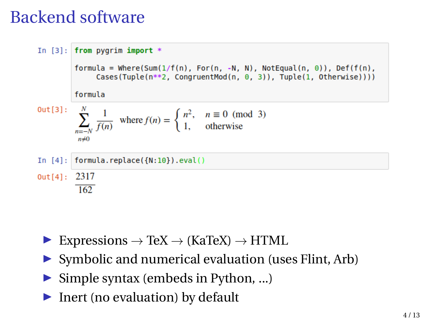### Backend software



- ▶ Expressions  $\rightarrow$  TeX  $\rightarrow$  (KaTeX)  $\rightarrow$  HTML
- ▶ Symbolic and numerical evaluation (uses Flint, Arb)
- ▶ Simple syntax (embeds in Python, ...)
- ▶ Inert (no evaluation) by default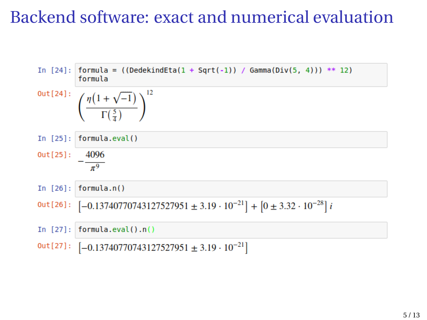### Backend software: exact and numerical evaluation

In [24]: 
$$
formula = ((DedekindEta(1 + Sqrt(-1)) / Gamma(Div(5, 4))) ** 12)
$$
\n $Out[24]:$ \n $\left(\frac{\eta(1 + \sqrt{-1})}{\Gamma(\frac{5}{4})}\right)^{12}$ \nIn [25]:  $formula\cdot eval()$ \n $out[25]:$ \n $- \frac{4096}{\pi^9}$ \nIn [26]:  $[ -0.13740770743127527951 \pm 3.19 \cdot 10^{-21}] + [0 \pm 3.32 \cdot 10^{-28}]i$ \nIn [27]:  $[ -0.13740770743127527951 \pm 3.19 \cdot 10^{-21}]$ \nIn [27]:  $[-0.13740770743127527951 \pm 3.19 \cdot 10^{-21}]$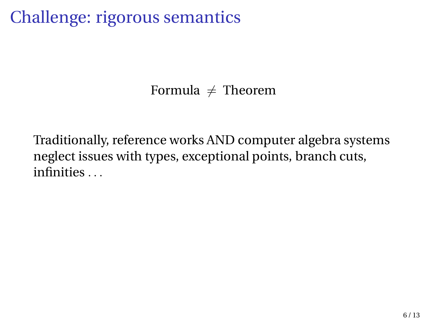### Challenge: rigorous semantics

Formula  $\neq$  Theorem

Traditionally, reference works AND computer algebra systems neglect issues with types, exceptional points, branch cuts, infinities . . .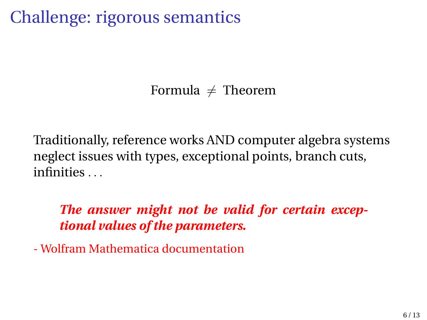### Challenge: rigorous semantics

Formula  $\neq$  Theorem

Traditionally, reference works AND computer algebra systems neglect issues with types, exceptional points, branch cuts, infinities . . .

*The answer might not be valid for certain exceptional values of the parameters.*

- Wolfram Mathematica documentation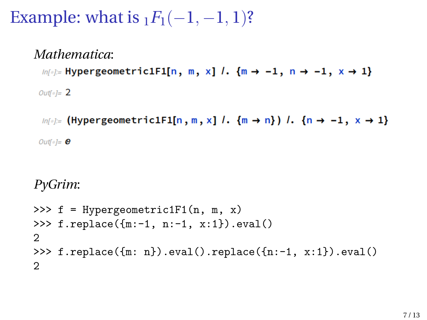### Example: what is  $_1F_1(-1,-1,1)$ ?

#### *Mathematica*:

 $ln[s] =$  Hypergeometric1F1[n, m, x] /.  $\{m \rightarrow -1, n \rightarrow -1, x \rightarrow 1\}$ 

Outfol=  $2$ 

 $ln[\frac{m}{2}]$  (Hypergeometric1F1[n, m, x]  $l$ .  $\{m \rightarrow n\}$ )  $l$ .  $\{n \rightarrow -1, x \rightarrow 1\}$ Outf $\circ$ ]=  $\theta$ 

#### *PyGrim*:

```
>>> f = Hypergeometric1F1(n, m, x)>>> f.replace({m:-1, n:-1, x:1}).eval()
2
>>> f.replace({m: n}).eval().replace({n:-1, x:1}).eval()
2
```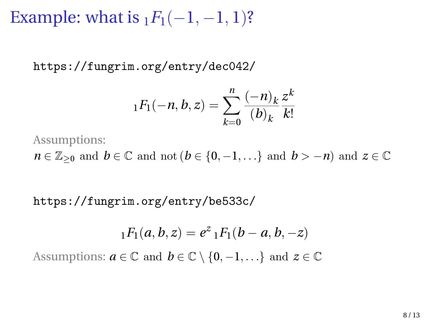Example: what is  $_1F_1(-1, -1, 1)$ ?

<https://fungrim.org/entry/dec042/>

$$
{}_1F_1(-n, b, z) = \sum_{k=0}^n \frac{(-n)_k}{(b)_k} \frac{z^k}{k!}
$$

Assumptions:

 $n \in \mathbb{Z}_{\geq 0}$  and  $b \in \mathbb{C}$  and not  $(b \in \{0, -1, \ldots\}$  and  $b > -n$ ) and  $z \in \mathbb{C}$ 

<https://fungrim.org/entry/be533c/>

$$
{}_1F_1(a,b,z) = e^z {}_1F_1(b-a,b,-z)
$$

Assumptions:  $a \in \mathbb{C}$  and  $b \in \mathbb{C} \setminus \{0, -1, \ldots\}$  and  $z \in \mathbb{C}$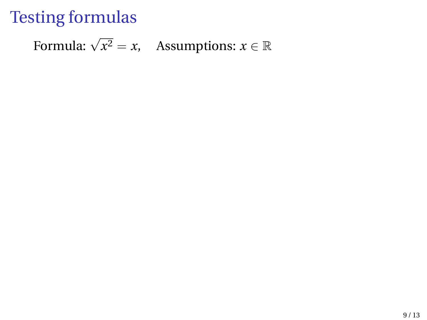### Testing formulas

Formula:  $\sqrt{x^2} = x$ , Assumptions:  $x \in \mathbb{R}$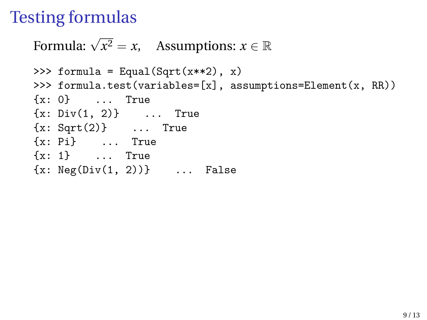### Testing formulas

Formula:  $\sqrt{x^2} = x$ , Assumptions:  $x \in \mathbb{R}$ 

```
>>> formula = Equal(Sqrt(x**2), x)
>>> formula.test(variables=[x], assumptions=Element(x, RR))
{x: 0} ... True
{x: Div(1, 2)} ... True
{x: Sqrt(2)} ... True
{x: Pi} ... True
{x: 1} ... True
{x: Neg(Div(1, 2))} ... False
```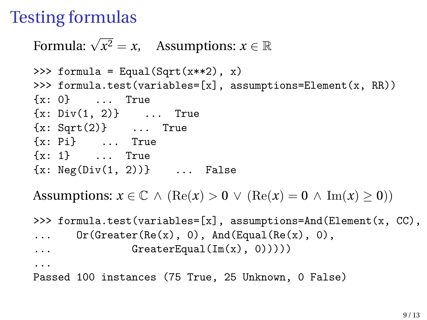### Testing formulas

Formula:  $\sqrt{x^2} = x$ , Assumptions:  $x \in \mathbb{R}$ 

```
>>> formula = Equal(Sqrt(x**2), x)
>>> formula.test(variables=[x], assumptions=Element(x, RR))
{x: 0} ... True
{x: Div(1, 2)} ... True
{x: Sqrt(2)} ... True
{x: Pi} ... True
{x: 1} ... True
{x: Neg(Div(1, 2))} ... False
```
Assumptions:  $x \in \mathbb{C} \land (\text{Re}(x) > 0 \lor (\text{Re}(x) = 0 \land \text{Im}(x) \geq 0))$ 

```
>>> formula.test(variables=[x], assumptions=And(Element(x, CC),
\ldots Or(Greater(Re(x), 0), And(Equal(Re(x), 0),
\ldots GreaterEqual(Im(x), 0)))))
...
```
Passed 100 instances (75 True, 25 Unknown, 0 False)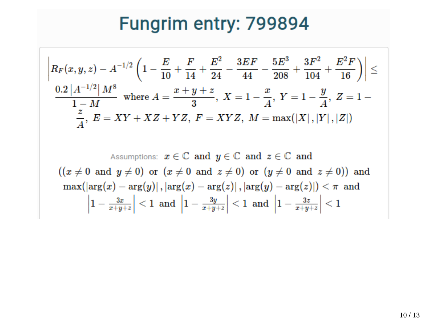# Fungrim entry: 799894

$$
\left| R_F(x, y, z) - A^{-1/2} \left( 1 - \frac{E}{10} + \frac{F}{14} + \frac{E^2}{24} - \frac{3EF}{44} - \frac{5E^3}{208} + \frac{3F^2}{104} + \frac{E^2F}{16} \right) \right| \le
$$
  
\n
$$
\frac{0.2 |A^{-1/2}| M^8}{1 - M} \text{ where } A = \frac{x + y + z}{3}, X = 1 - \frac{x}{A}, Y = 1 - \frac{y}{A}, Z = 1 - \frac{z}{A}, E = XY + XZ + YZ, F = XYZ, M = \max(|X|, |Y|, |Z|)
$$
  
\nAssumptions:  $x \in \mathbb{C}$  and  $y \in \mathbb{C}$  and  $z \in \mathbb{C}$  and  
\n
$$
((x \neq 0 \text{ and } y \neq 0) \text{ or } (x \neq 0 \text{ and } z \neq 0) \text{ or } (y \neq 0 \text{ and } z \neq 0)) \text{ and}
$$
  
\n
$$
\max(|\arg(x) - \arg(y)|, |\arg(x) - \arg(z)|, |\arg(y) - \arg(z)||) < \pi
$$
 and  
\n
$$
\left| 1 - \frac{3x}{x + y + z} \right| < 1 \text{ and } \left| 1 - \frac{3y}{x + y + z} \right| < 1 \text{ and } \left| 1 - \frac{3z}{x + y + z} \right| < 1
$$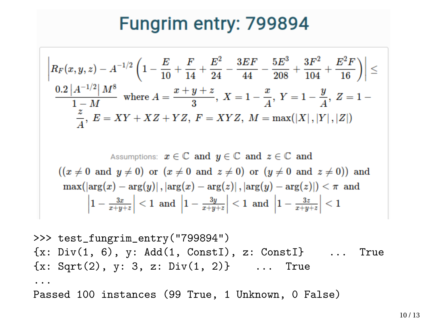## Fungrim entry: 799894

$$
\left| R_F(x, y, z) - A^{-1/2} \left( 1 - \frac{E}{10} + \frac{F}{14} + \frac{E^2}{24} - \frac{3EF}{44} - \frac{5E^3}{208} + \frac{3F^2}{104} + \frac{E^2F}{16} \right) \right| \le
$$
  
\n
$$
\frac{0.2 \left| A^{-1/2} \right| M^8}{1 - M} \text{ where } A = \frac{x + y + z}{3}, \ X = 1 - \frac{x}{A}, \ Y = 1 - \frac{y}{A}, \ Z = 1 - \frac{z}{A}, \ E = XY + XZ + YZ, \ F = XYZ, \ M = \max(|X|, |Y|, |Z|)
$$
  
\nAssumptions:  $x \in \mathbb{C}$  and  $y \in \mathbb{C}$  and  $z \in \mathbb{C}$  and  
\n
$$
((x \neq 0 \text{ and } y \neq 0) \text{ or } (x \neq 0 \text{ and } z \neq 0) \text{ or } (y \neq 0 \text{ and } z \neq 0)) \text{ and}
$$
  
\n
$$
\max(\left| \arg(x) - \arg(y) \right|, \left| \arg(x) - \arg(z) \right|, \left| \arg(y) - \arg(z) \right| \right) < \pi \text{ and}
$$
  
\n
$$
\left| 1 - \frac{3x}{x + y + z} \right| < 1 \text{ and } \left| 1 - \frac{3y}{x + y + z} \right| < 1 \text{ and } \left| 1 - \frac{3z}{x + y + z} \right| < 1
$$

>>> test\_fungrim\_entry("799894")  ${x: Div(1, 6), y: Add(1, Const1), z: Const1}$  ... True  ${x: Sqrt(2), y: 3, z: Div(1, 2)}$  ... True ... Passed 100 instances (99 True, 1 Unknown, 0 False)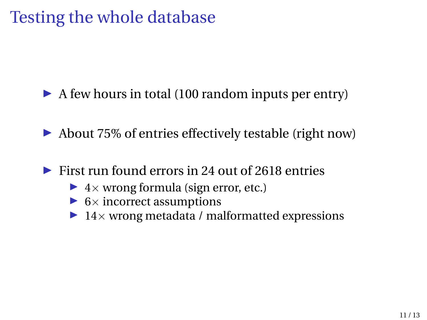### Testing the whole database

▶ A few hours in total (100 random inputs per entry)

▶ About 75\% of entries effectively testable (right now)

 $\triangleright$  First run found errors in 24 out of 2618 entries

- $\blacktriangleright$  4 x wrong formula (sign error, etc.)
- $\triangleright$  6  $\times$  incorrect assumptions
- $\blacktriangleright$  14 $\times$  wrong metadata / malformatted expressions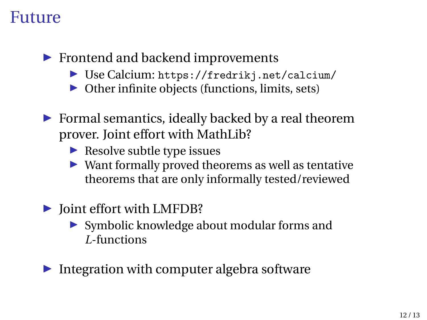### Future

- ▶ Frontend and backend improvements
	- ▶ Use Calcium: <https://fredrikj.net/calcium/>
	- ▶ Other infinite objects (functions, limits, sets)
- $\triangleright$  Formal semantics, ideally backed by a real theorem prover. Joint effort with MathLib?
	- $\blacktriangleright$  Resolve subtle type issues
	- ▶ Want formally proved theorems as well as tentative theorems that are only informally tested/reviewed
- ▶ Joint effort with LMFDB?
	- ▶ Symbolic knowledge about modular forms and *L*-functions
- $\blacktriangleright$  Integration with computer algebra software